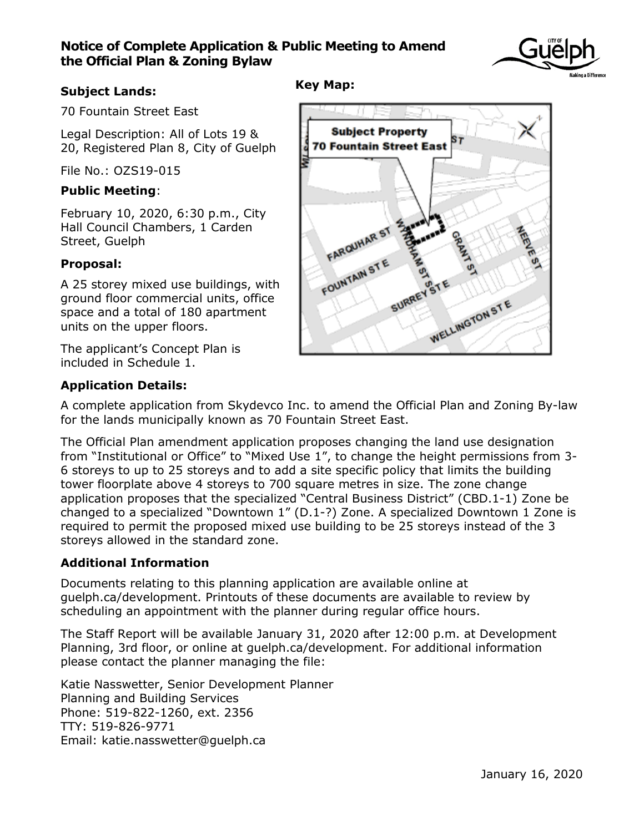## **Notice of Complete Application & Public Meeting to Amend the Official Plan & Zoning Bylaw**



## **Subject Lands:**

70 Fountain Street East

Legal Description: All of Lots 19 & 20, Registered Plan 8, City of Guelph

File No.: OZS19-015

#### **Public Meeting**:

February 10, 2020, 6:30 p.m., City Hall Council Chambers, 1 Carden Street, Guelph

#### **Proposal:**

A 25 storey mixed use buildings, with ground floor commercial units, office space and a total of 180 apartment units on the upper floors.

The applicant's Concept Plan is included in Schedule 1.

# **Application Details:**

A complete application from Skydevco Inc. to amend the Official Plan and Zoning By-law for the lands municipally known as 70 Fountain Street East.

The Official Plan amendment application proposes changing the land use designation from "Institutional or Office" to "Mixed Use 1", to change the height permissions from 3- 6 storeys to up to 25 storeys and to add a site specific policy that limits the building tower floorplate above 4 storeys to 700 square metres in size. The zone change application proposes that the specialized "Central Business District" (CBD.1-1) Zone be changed to a specialized "Downtown 1" (D.1-?) Zone. A specialized Downtown 1 Zone is required to permit the proposed mixed use building to be 25 storeys instead of the 3 storeys allowed in the standard zone.

#### **Additional Information**

Documents relating to this planning application are available online at guelph.ca/development. Printouts of these documents are available to review by scheduling an appointment with the planner during regular office hours.

The Staff Report will be available January 31, 2020 after 12:00 p.m. at Development Planning, 3rd floor, or online at guelph.ca/development. For additional information please contact the planner managing the file:

Katie Nasswetter, Senior Development Planner Planning and Building Services Phone: 519-822-1260, ext. 2356 TTY: 519-826-9771 Email: katie.nasswetter@guelph.ca

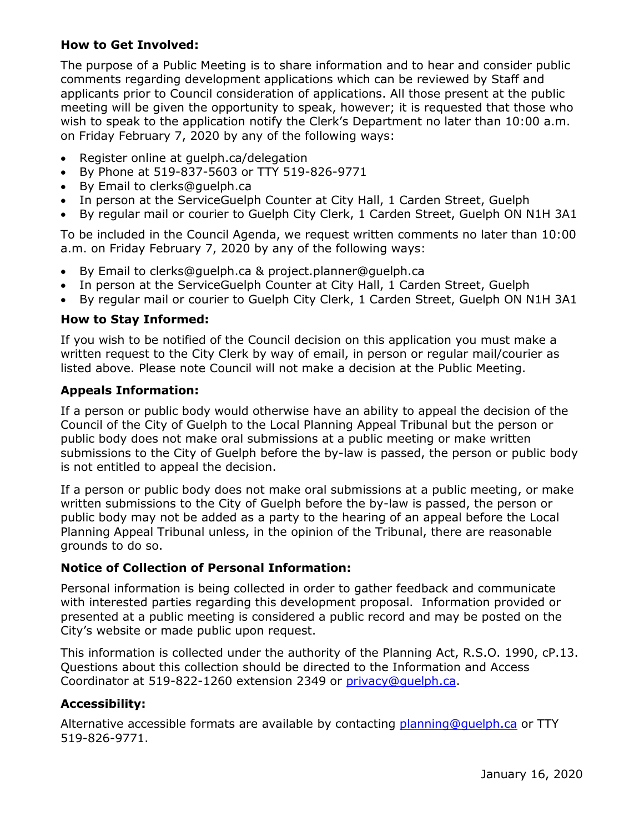#### **How to Get Involved:**

The purpose of a Public Meeting is to share information and to hear and consider public comments regarding development applications which can be reviewed by Staff and applicants prior to Council consideration of applications. All those present at the public meeting will be given the opportunity to speak, however; it is requested that those who wish to speak to the application notify the Clerk's Department no later than 10:00 a.m. on Friday February 7, 2020 by any of the following ways:

- Register online at guelph.ca/delegation
- By Phone at 519-837-5603 or TTY 519-826-9771
- By Email to clerks@guelph.ca
- In person at the ServiceGuelph Counter at City Hall, 1 Carden Street, Guelph
- By regular mail or courier to Guelph City Clerk, 1 Carden Street, Guelph ON N1H 3A1

To be included in the Council Agenda, we request written comments no later than 10:00 a.m. on Friday February 7, 2020 by any of the following ways:

- By Email to clerks@guelph.ca & project.planner@guelph.ca
- In person at the ServiceGuelph Counter at City Hall, 1 Carden Street, Guelph
- By regular mail or courier to Guelph City Clerk, 1 Carden Street, Guelph ON N1H 3A1

## **How to Stay Informed:**

If you wish to be notified of the Council decision on this application you must make a written request to the City Clerk by way of email, in person or regular mail/courier as listed above. Please note Council will not make a decision at the Public Meeting.

## **Appeals Information:**

If a person or public body would otherwise have an ability to appeal the decision of the Council of the City of Guelph to the Local Planning Appeal Tribunal but the person or public body does not make oral submissions at a public meeting or make written submissions to the City of Guelph before the by-law is passed, the person or public body is not entitled to appeal the decision.

If a person or public body does not make oral submissions at a public meeting, or make written submissions to the City of Guelph before the by-law is passed, the person or public body may not be added as a party to the hearing of an appeal before the Local Planning Appeal Tribunal unless, in the opinion of the Tribunal, there are reasonable grounds to do so.

# **Notice of Collection of Personal Information:**

Personal information is being collected in order to gather feedback and communicate with interested parties regarding this development proposal. Information provided or presented at a public meeting is considered a public record and may be posted on the City's website or made public upon request.

This information is collected under the authority of the Planning Act, R.S.O. 1990, cP.13. Questions about this collection should be directed to the Information and Access Coordinator at 519-822-1260 extension 2349 or [privacy@guelph.ca.](mailto:privacy@guelph.ca)

# **Accessibility:**

Alternative accessible formats are available by contacting [planning@guelph.ca](mailto:planning@guelph.ca) or TTY 519-826-9771.